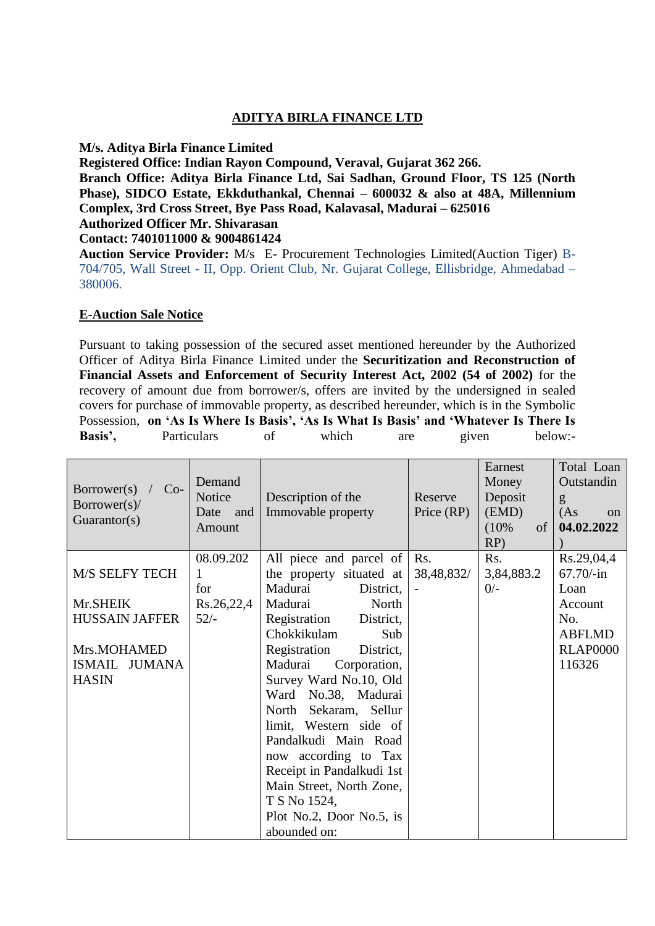## **ADITYA BIRLA FINANCE LTD**

### **M/s. Aditya Birla Finance Limited**

**Registered Office: Indian Rayon Compound, Veraval, Gujarat 362 266.**

**Branch Office: Aditya Birla Finance Ltd, Sai Sadhan, Ground Floor, TS 125 (North Phase), SIDCO Estate, Ekkduthankal, Chennai – 600032 & also at 48A, Millennium Complex, 3rd Cross Street, Bye Pass Road, Kalavasal, Madurai – 625016 Authorized Officer Mr. Shivarasan** 

### **Contact: 7401011000 & 9004861424**

**Auction Service Provider:** M/s E- Procurement Technologies Limited(Auction Tiger) B-704/705, Wall Street - II, Opp. Orient Club, Nr. Gujarat College, Ellisbridge, Ahmedabad – 380006.

### **E-Auction Sale Notice**

Pursuant to taking possession of the secured asset mentioned hereunder by the Authorized Officer of Aditya Birla Finance Limited under the **Securitization and Reconstruction of Financial Assets and Enforcement of Security Interest Act, 2002 (54 of 2002)** for the recovery of amount due from borrower/s, offers are invited by the undersigned in sealed covers for purchase of immovable property, as described hereunder, which is in the Symbolic Possession, **on 'As Is Where Is Basis', 'As Is What Is Basis' and 'Whatever Is There Is**  Basis', Particulars of which are given below:-

| $\text{Borrower}(s)$<br>$Co-$<br>$Borrower(s)$ /<br>Guarantor(s) | Demand<br>Notice<br>Date and<br>Amount | Description of the<br>Immovable property                                                                                                                                                                                                                                                                                                            | Reserve<br>Price (RP) | Earnest<br>Money<br>Deposit<br>(EMD)<br>$(10\%$<br>of<br>$RP$ ) | Total Loan<br>Outstandin<br>g<br>(As<br>$\alpha$<br>04.02.2022 |
|------------------------------------------------------------------|----------------------------------------|-----------------------------------------------------------------------------------------------------------------------------------------------------------------------------------------------------------------------------------------------------------------------------------------------------------------------------------------------------|-----------------------|-----------------------------------------------------------------|----------------------------------------------------------------|
| <b>M/S SELFY TECH</b>                                            | 08.09.202<br>1<br>for                  | All piece and parcel of<br>the property situated at<br>Madurai<br>District,                                                                                                                                                                                                                                                                         | Rs.<br>38,48,832/     | Rs.<br>3,84,883.2<br>$0/-$                                      | Rs.29,04,4<br>$67.70/-in$<br>Loan                              |
| Mr.SHEIK                                                         | Rs.26,22,4                             | Madurai<br>North                                                                                                                                                                                                                                                                                                                                    |                       |                                                                 | Account                                                        |
| <b>HUSSAIN JAFFER</b>                                            | $52/-$                                 | Registration<br>District,                                                                                                                                                                                                                                                                                                                           |                       |                                                                 | No.                                                            |
| Mrs.MOHAMED<br><b>ISMAIL</b><br>JUMANA<br><b>HASIN</b>           |                                        | Chokkikulam<br>Sub<br>Registration<br>District,<br>Madurai<br>Corporation,<br>Survey Ward No.10, Old<br>Ward No.38, Madurai<br>North Sekaram, Sellur<br>limit, Western side of<br>Pandalkudi Main Road<br>now according to Tax<br>Receipt in Pandalkudi 1st<br>Main Street, North Zone,<br>T S No 1524,<br>Plot No.2, Door No.5, is<br>abounded on: |                       |                                                                 | <b>ABFLMD</b><br><b>RLAP0000</b><br>116326                     |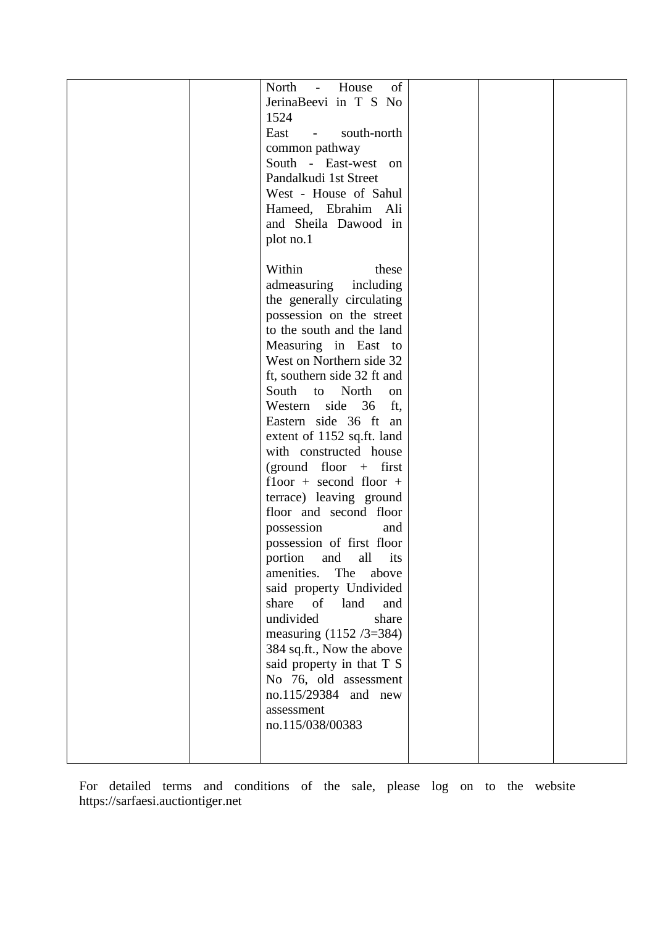|  | of<br>North<br>House<br>$\sim 10^{-1}$     |  |  |
|--|--------------------------------------------|--|--|
|  | JerinaBeevi in T S No                      |  |  |
|  | 1524                                       |  |  |
|  | East<br>south-north<br>$\omega_{\rm{max}}$ |  |  |
|  | common pathway                             |  |  |
|  | South - East-west on                       |  |  |
|  |                                            |  |  |
|  | Pandalkudi 1st Street                      |  |  |
|  | West - House of Sahul                      |  |  |
|  | Hameed, Ebrahim Ali                        |  |  |
|  | and Sheila Dawood in                       |  |  |
|  | plot no.1                                  |  |  |
|  |                                            |  |  |
|  | Within<br>these                            |  |  |
|  | admeasuring<br>including                   |  |  |
|  | the generally circulating                  |  |  |
|  | possession on the street                   |  |  |
|  | to the south and the land                  |  |  |
|  | Measuring in East to                       |  |  |
|  | West on Northern side 32                   |  |  |
|  | ft, southern side 32 ft and                |  |  |
|  | South<br>to North<br>on                    |  |  |
|  | Western side 36<br>ft,                     |  |  |
|  | Eastern side 36 ft an                      |  |  |
|  | extent of 1152 sq.ft. land                 |  |  |
|  | with constructed house                     |  |  |
|  | (ground floor $+$ first                    |  |  |
|  | $floor + second floor +$                   |  |  |
|  | terrace) leaving ground                    |  |  |
|  | floor and second floor                     |  |  |
|  | possession<br>and                          |  |  |
|  | possession of first floor                  |  |  |
|  | and<br>all<br>portion<br>its               |  |  |
|  | amenities.<br>The above                    |  |  |
|  | said property Undivided                    |  |  |
|  | share<br>of<br>land<br>and                 |  |  |
|  | undivided<br>share                         |  |  |
|  |                                            |  |  |
|  | measuring $(1152 / 3 = 384)$               |  |  |
|  | 384 sq.ft., Now the above                  |  |  |
|  | said property in that T S                  |  |  |
|  | No 76, old assessment                      |  |  |
|  | no.115/29384 and new                       |  |  |
|  | assessment                                 |  |  |
|  | no.115/038/00383                           |  |  |
|  |                                            |  |  |
|  |                                            |  |  |

For detailed terms and conditions of the sale, please log on to the website [https://sarfaesi.auctiontiger.net](https://sarfaesi.auctiontiger.net/)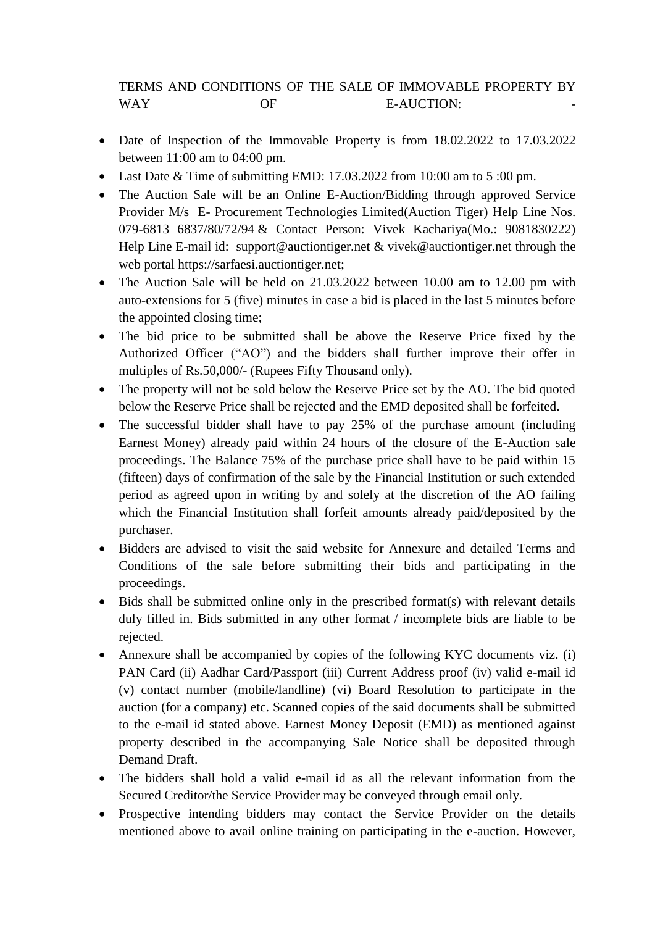# TERMS AND CONDITIONS OF THE SALE OF IMMOVABLE PROPERTY BY WAY OF B-AUCTION:

- Date of Inspection of the Immovable Property is from 18.02.2022 to 17.03.2022 between 11:00 am to 04:00 pm.
- Last Date & Time of submitting EMD: 17.03.2022 from 10:00 am to 5:00 pm.
- The Auction Sale will be an Online E-Auction/Bidding through approved Service Provider M/s E- Procurement Technologies Limited(Auction Tiger) Help Line Nos. 079-6813 6837/80/72/94 & Contact Person: Vivek Kachariya(Mo.: 9081830222) Help Line E-mail id: [support@auctiontiger.net](mailto:support@auctiontiger.net) & vivek@auctiontiger.net through the web portal [https://sarfaesi.auctiontiger.net;](https://sarfaesi.auctiontiger.net/)
- The Auction Sale will be held on 21.03.2022 between 10.00 am to 12.00 pm with auto-extensions for 5 (five) minutes in case a bid is placed in the last 5 minutes before the appointed closing time;
- The bid price to be submitted shall be above the Reserve Price fixed by the Authorized Officer ("AO") and the bidders shall further improve their offer in multiples of Rs.50,000/- (Rupees Fifty Thousand only).
- The property will not be sold below the Reserve Price set by the AO. The bid quoted below the Reserve Price shall be rejected and the EMD deposited shall be forfeited.
- The successful bidder shall have to pay 25% of the purchase amount (including Earnest Money) already paid within 24 hours of the closure of the E-Auction sale proceedings. The Balance 75% of the purchase price shall have to be paid within 15 (fifteen) days of confirmation of the sale by the Financial Institution or such extended period as agreed upon in writing by and solely at the discretion of the AO failing which the Financial Institution shall forfeit amounts already paid/deposited by the purchaser.
- Bidders are advised to visit the said website for Annexure and detailed Terms and Conditions of the sale before submitting their bids and participating in the proceedings.
- Bids shall be submitted online only in the prescribed format(s) with relevant details duly filled in. Bids submitted in any other format / incomplete bids are liable to be rejected.
- Annexure shall be accompanied by copies of the following KYC documents viz. (i) PAN Card (ii) Aadhar Card/Passport (iii) Current Address proof (iv) valid e-mail id (v) contact number (mobile/landline) (vi) Board Resolution to participate in the auction (for a company) etc. Scanned copies of the said documents shall be submitted to the e-mail id stated above. Earnest Money Deposit (EMD) as mentioned against property described in the accompanying Sale Notice shall be deposited through Demand Draft.
- The bidders shall hold a valid e-mail id as all the relevant information from the Secured Creditor/the Service Provider may be conveyed through email only.
- Prospective intending bidders may contact the Service Provider on the details mentioned above to avail online training on participating in the e-auction. However,